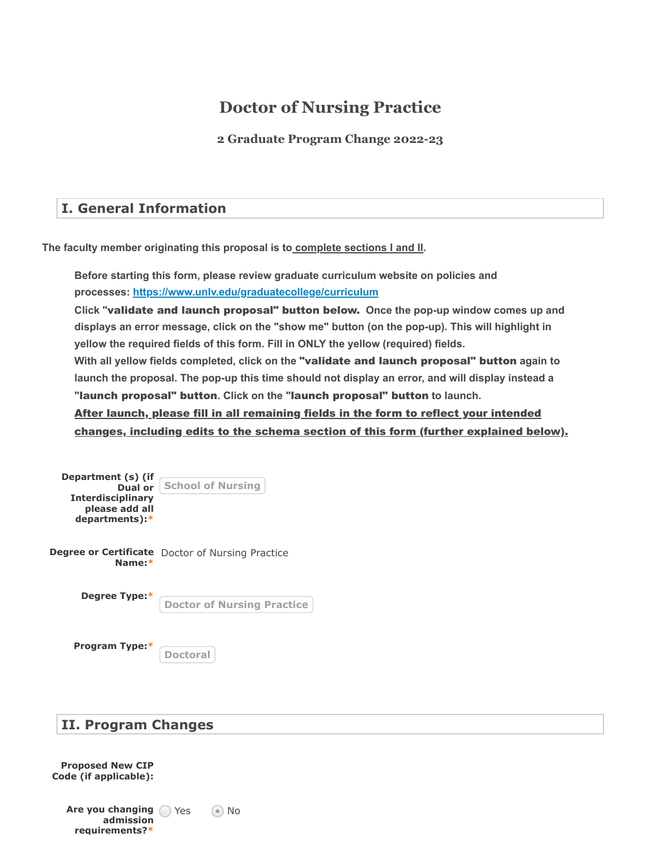# **Doctor of Nursing Practice**

**2 Graduate Program Change 2022-23**

## **I. General Information**

**The faculty member originating this proposal is to complete sections I and II.**

**Before starting this form, please review graduate curriculum website on policies and processes: <https://www.unlv.edu/graduatecollege/curriculum>**

Click "validate and launch proposal" button below. Once the pop-up window comes up and **displays an error message, click on the "show me" button (on the pop-up). This will highlight in yellow the required fields of this form. Fill in ONLY the yellow (required) fields.**

With all yellow fields completed, click on the "v**alidate and launch proposal" button** again to **launch the proposal. The pop-up this time should not display an error, and will display instead a** "launch proposal" button. Click on the "launch proposal" button to launch.

After launch, please fill in all remaining fields in the form to reflect your intended changes, including edits to the schema section of this form (further explained below).

| Department (s) (if<br>Dual or<br><b>Interdisciplinary</b><br>please add all<br>departments):* | <b>School of Nursing</b>                                |
|-----------------------------------------------------------------------------------------------|---------------------------------------------------------|
| Name:*                                                                                        | <b>Degree or Certificate</b> Doctor of Nursing Practice |
| Degree Type:*                                                                                 | <b>Doctor of Nursing Practice</b>                       |
| Program Type:*                                                                                | <b>Doctoral</b>                                         |

# **II. Program Changes**

**Proposed New CIP Code (if applicable):**

> **Are you changing admission requirements?\***

 $\odot$  No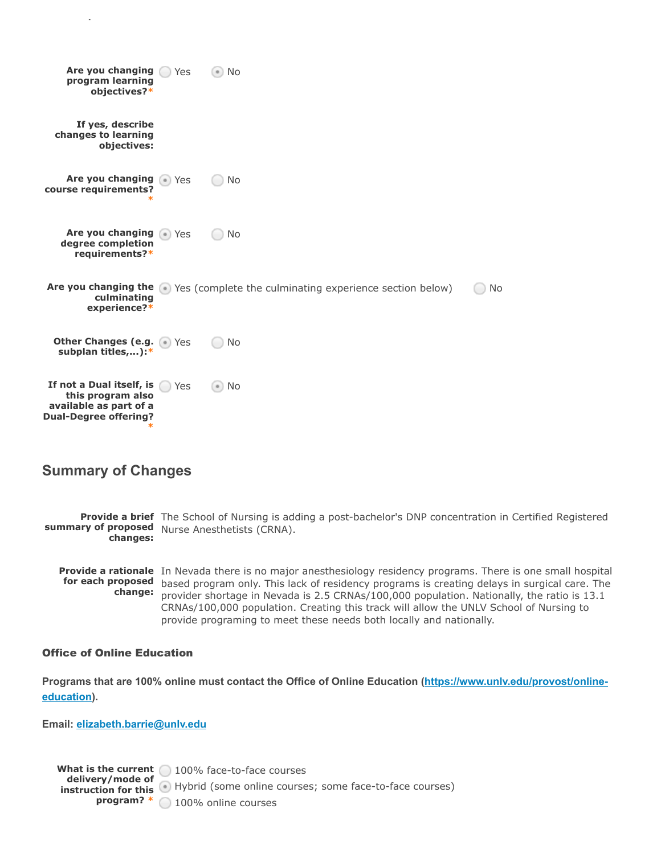

## **Summary of Changes**

**q**

**Provide a brief** The School of Nursing is adding a post-bachelor's DNP concentration in Certified Registered **summary of proposed** Nurse Anesthetists (CRNA). **changes:**

**Provide a rationale** In Nevada there is no major anesthesiology residency programs. There is one small hospital for each proposed based program only. This lack of residency programs is creating delays in surgical care. The **change:** provider shortage in Nevada is 2.5 CRNAs/100,000 population. Nationally, the ratio is 13.1 CRNAs/100,000 population. Creating this track will allow the UNLV School of Nursing to provide programing to meet these needs both locally and nationally.

#### Office of Online Education

**Programs that are 100% online [must contact the Office of Online Education \(](https://www.unlv.edu/provost/online-education) https://www.unlv.edu/provost/onlineeducation**).

**Email: [elizabeth.barrie@unlv.edu](http://unlv.edu/)**

**What is the current** 100% face-to-face courses **delivery/mode of instruction for this** Hybrid (some online courses; some face-to-face courses) **program? \*** 100% online courses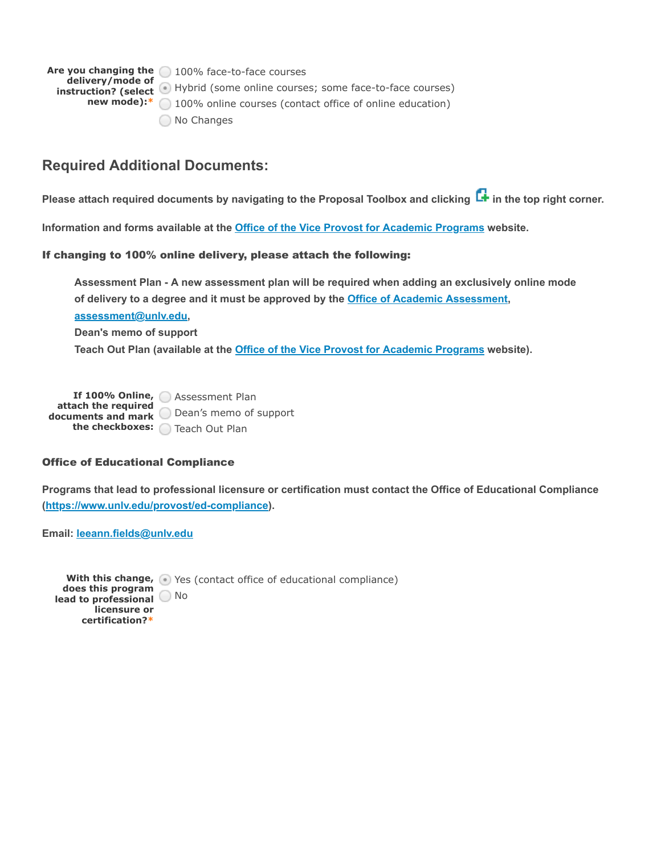**Are you changing the** 100% face-to-face courses **delivery/mode of instruction? (select** Hybrid (some online courses; some face-to-face courses) **new mode):**<sup>\*</sup> 100% online courses (contact office of online education) O No Changes

## **Required Additional Documents:**

**Please attach required documents by navigating to the Proposal Toolbox and clicking in the top right corner.**

**Information and forms available at the [Office of the Vice Provost for Academic Programs](https://www.unlv.edu/provost/vpap/actions) website.**

#### If changing to 100% online delivery, please attach the following:

**Assessment Plan - A new assessment plan will be required when adding an exclusively online mode** of delivery to a degree and it must be approved by the **Office of Academic Assessment**, **, [assessment@unlv.edu](mailto:assessment@unlv.edu)**

**Dean's memo of support**

**Teach Out Plan (available at the [Office of the Vice Provost for Academic Programs](https://www.unlv.edu/provost/vpap/actions) website).**

**If 100% Online,** Assessment Plan **attach the required documents and mark** Dean's memo of support **the checkboxes:** Teach Out Plan

#### Office of Educational Compliance

**Programs that lead to professional licensure or certification must contact the Office of Educational Compliance [\(https://www.unlv.edu/provost/ed-compliance\)](https://www.unlv.edu/provost/ed-compliance).**

**Email: [leeann.fields@unlv.edu](mailto:leeann.fields@unlv.edu)**

With this change, **Nesell** Yes (contact office of educational compliance) **does this program lead to professional** No**licensure or certification?\***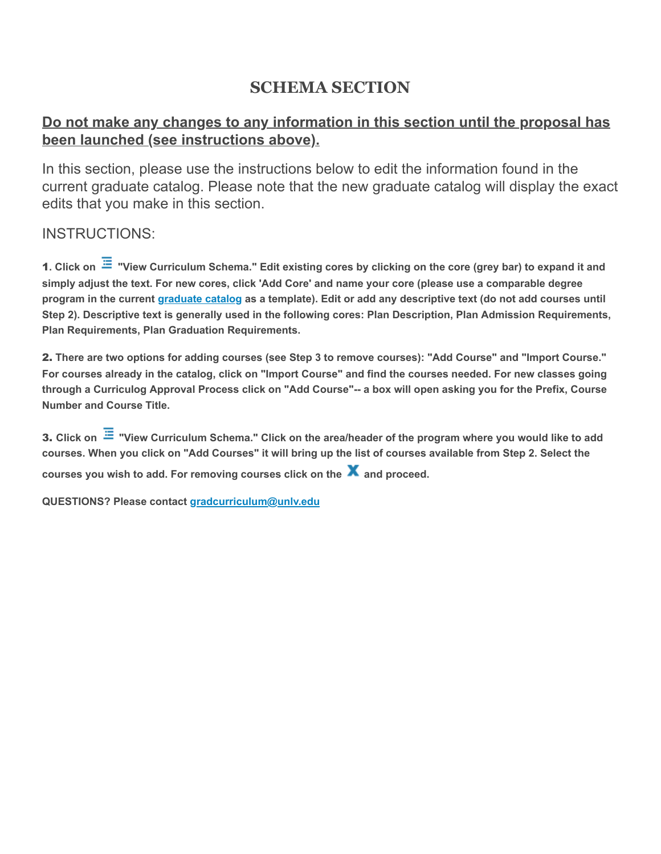# **SCHEMA SECTION**

# **Do not make any changes to any information in this section until the proposal has been launched (see instructions above).**

In this section, please use the instructions below to edit the information found in the current graduate catalog. Please note that the new graduate catalog will display the exact edits that you make in this section.

# INSTRUCTIONS:

**1**. Click on <sup>≔</sup> "View Curriculum Schema." Edit existing cores by clicking on the core (grey bar) to expand it and **simply adjust the text. For new cores, click 'Add Core' and name your core (please use a comparable degree** programin the current <u>graduate catalog</u> as a template). Edit or add any descriptive text (do not add courses until **Step 2). Descriptive text is generally used in the following cores: Plan Description, Plan Admission Requirements, Plan Requirements, Plan Graduation Requirements.**

**There are two options for adding courses (see Step 3 to remove courses): "Add Course" and "Import Course."** 2. **For courses already in the catalog, click on "Import Course" and find the courses needed. For new classes going through a Curriculog Approval Process click on "Add Course"-- a box will open asking you for the Prefix, Course Number and Course Title.**

**Click on "View Curriculum Schema." Click on the area/header of the program where you would like to add** 3. **courses. When you click on "Add Courses" it will bring up the list of courses available from Step 2. Select the courses you wish to add. For removing courses click on the and proceed.**

**QUESTIONS? Please contact [gradcurriculum@unlv.edu](mailto:gradcurriculum@unlv.edu)**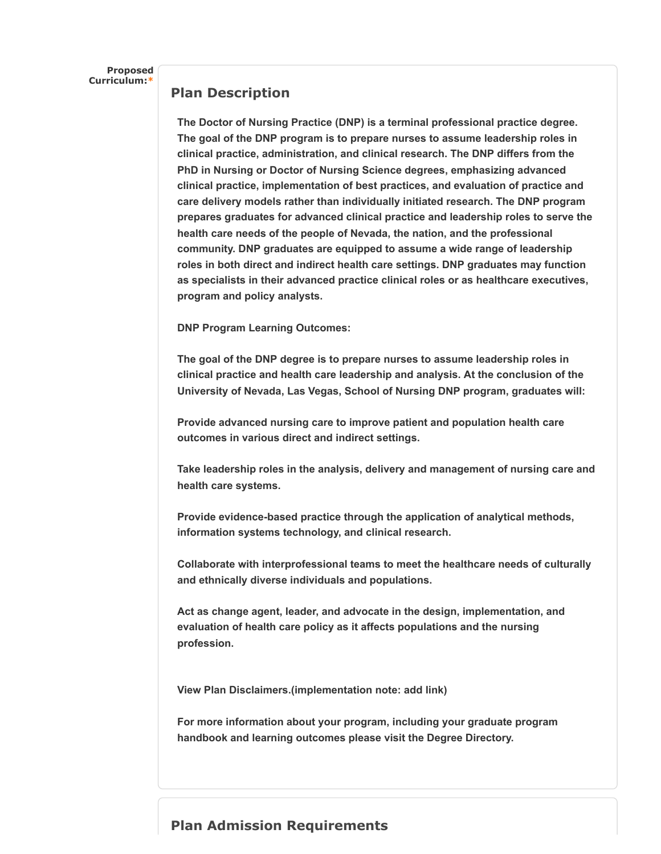**Proposed Curriculum:\***

#### **Plan Description**

**The Doctor of Nursing Practice (DNP) is a terminal professional practice degree. The goal of the DNP program is to prepare nurses to assume leadership roles in clinical practice, administration, and clinical research. The DNP differs from the PhD in Nursing or Doctor of Nursing Science degrees, emphasizing advanced clinical practice, implementation of best practices, and evaluation of practice and care delivery models rather than individually initiated research. The DNP program prepares graduates for advanced clinical practice and leadership roles to serve the health care needs of the people of Nevada, the nation, and the professional community. DNP graduates are equipped to assume a wide range of leadership roles in both direct and indirect health care settings. DNP graduates may function as specialists in their advanced practice clinical roles or as healthcare executives, program and policy analysts.**

**DNP Program Learning Outcomes:**

**The goal of the DNP degree is to prepare nurses to assume leadership roles in clinical practice and health care leadership and analysis. At the conclusion of the University of Nevada, Las Vegas, School of Nursing DNP program, graduates will:**

**Provide advanced nursing care to improve patient and population health care outcomes in various direct and indirect settings.**

**Take leadership roles in the analysis, delivery and management of nursing care and health care systems.**

**Provide evidence-based practice through the application of analytical methods, information systems technology, and clinical research.**

**Collaborate with interprofessional teams to meet the healthcare needs of culturally and ethnically diverse individuals and populations.**

**Act as change agent, leader, and advocate in the design, implementation, and evaluation of health care policy as it affects populations and the nursing profession.**

**View Plan Disclaimers.(implementation note: add link)**

**For more information about your program, including your graduate program handbook and learning outcomes please visit the Degree Directory.**

## **Plan Admission Requirements**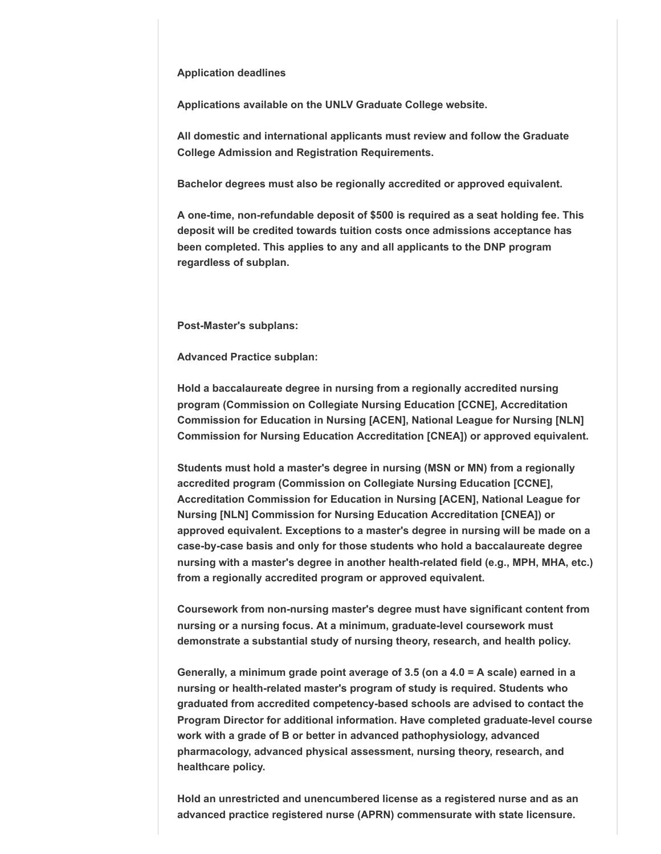#### **Application deadlines**

**Applications available on the UNLV Graduate College website.**

**All domestic and international applicants must review and follow the Graduate College Admission and Registration Requirements.**

**Bachelor degrees must also be regionally accredited or approved equivalent.**

**A one-time, non-refundable deposit of \$500 is required as a seat holding fee. This deposit will be credited towards tuition costs once admissions acceptance has been completed. This applies to any and all applicants to the DNP program regardless of subplan.**

**Post-Master's subplans:** 

**Advanced Practice subplan:**

**Hold a baccalaureate degree in nursing from a regionally accredited nursing program (Commission on Collegiate Nursing Education [CCNE], Accreditation Commission for Education in Nursing [ACEN], National League for Nursing [NLN] Commission for Nursing Education Accreditation [CNEA]) or approved equivalent.**

**Students must hold a master's degree in nursing (MSN or MN) from a regionally accredited program (Commission on Collegiate Nursing Education [CCNE], Accreditation Commission for Education in Nursing [ACEN], National League for Nursing [NLN] Commission for Nursing Education Accreditation [CNEA]) or approved equivalent. Exceptions to a master's degree in nursing will be made on a case-by-case basis and only for those students who hold a baccalaureate degree nursing with a master's degree in another health-related field (e.g., MPH, MHA, etc.) from a regionally accredited program or approved equivalent.**

**Coursework from non-nursing master's degree must have significant content from nursing or a nursing focus. At a minimum, graduate-level coursework must demonstrate a substantial study of nursing theory, research, and health policy.**

**Generally, a minimum grade point average of 3.5 (on a 4.0 = A scale) earned in a nursing or health-related master's program of study is required. Students who graduated from accredited competency-based schools are advised to contact the Program Director for additional information. Have completed graduate-level course work with a grade of B or better in advanced pathophysiology, advanced pharmacology, advanced physical assessment, nursing theory, research, and healthcare policy.**

**Hold an unrestricted and unencumbered license as a registered nurse and as an advanced practice registered nurse (APRN) commensurate with state licensure.**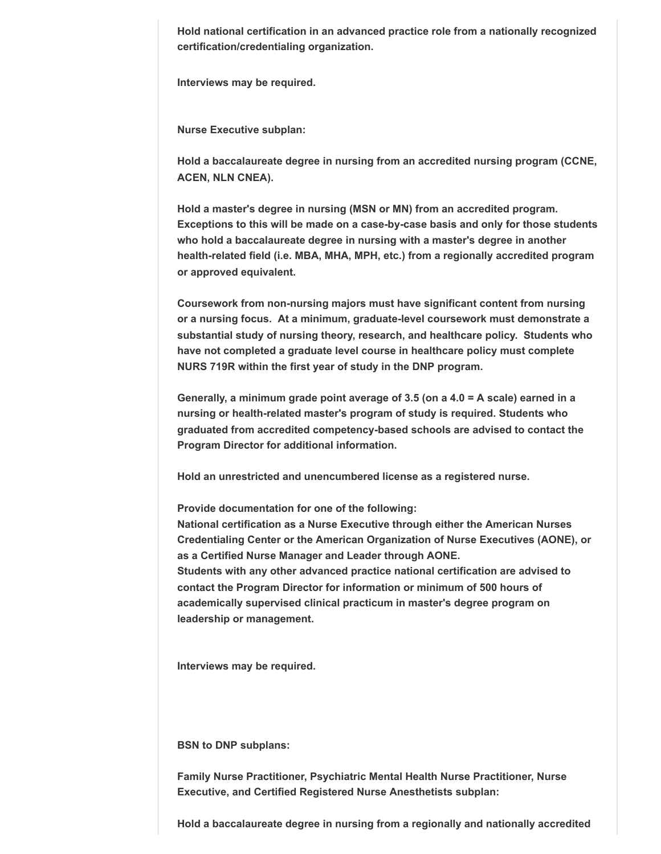**Hold national certification in an advanced practice role from a nationally recognized certification/credentialing organization.**

**Interviews may be required.**

**Nurse Executive subplan:**

**Hold a baccalaureate degree in nursing from an accredited nursing program (CCNE, ACEN, NLN CNEA).**

**Hold a master's degree in nursing (MSN or MN) from an accredited program. Exceptions to this will be made on a case-by-case basis and only for those students who hold a baccalaureate degree in nursing with a master's degree in another health-related field (i.e. MBA, MHA, MPH, etc.) from a regionally accredited program or approved equivalent.**

**Coursework from non-nursing majors must have significant content from nursing or a nursing focus. At a minimum, graduate-level coursework must demonstrate a substantial study of nursing theory, research, and healthcare policy. Students who have not completed a graduate level course in healthcare policy must complete NURS 719R within the first year of study in the DNP program.**

**Generally, a minimum grade point average of 3.5 (on a 4.0 = A scale) earned in a nursing or health-related master's program of study is required. Students who graduated from accredited competency-based schools are advised to contact the Program Director for additional information.**

**Hold an unrestricted and unencumbered license as a registered nurse.**

**Provide documentation for one of the following:**

**National certification as a Nurse Executive through either the American Nurses Credentialing Center or the American Organization of Nurse Executives (AONE), or as a Certified Nurse Manager and Leader through AONE. Students with any other advanced practice national certification are advised to contact the Program Director for information or minimum of 500 hours of academically supervised clinical practicum in master's degree program on leadership or management.**

**Interviews may be required.**

**BSN to DNP subplans:** 

**Family Nurse Practitioner, Psychiatric Mental Health Nurse Practitioner, Nurse Executive, and Certified Registered Nurse Anesthetists subplan:**

**Hold a baccalaureate degree in nursing from a regionally and nationally accredited**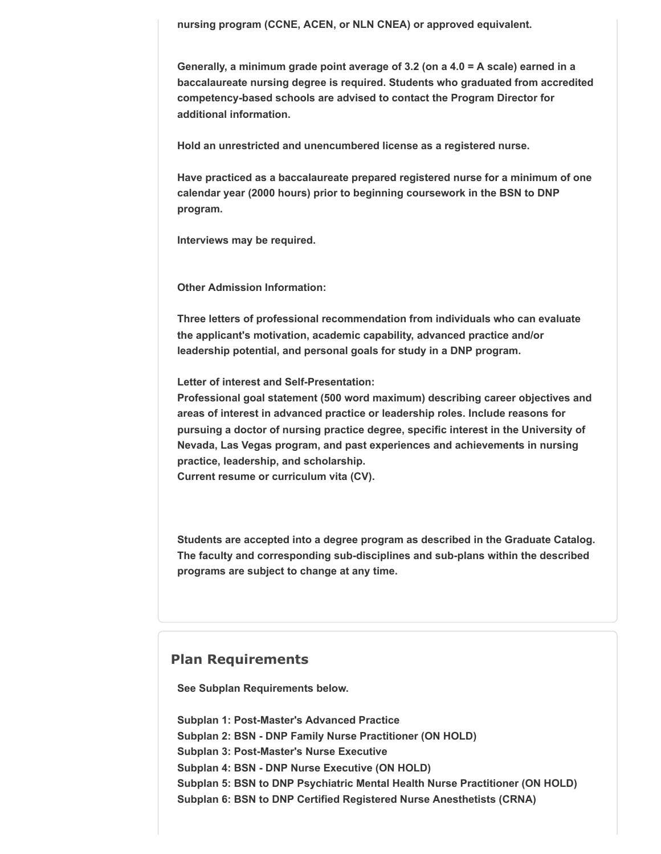**nursing program (CCNE, ACEN, or NLN CNEA) or approved equivalent.**

**Generally, a minimum grade point average of 3.2 (on a 4.0 = A scale) earned in a baccalaureate nursing degree is required. Students who graduated from accredited competency-based schools are advised to contact the Program Director for additional information.**

**Hold an unrestricted and unencumbered license as a registered nurse.**

**Have practiced as a baccalaureate prepared registered nurse for a minimum of one calendar year (2000 hours) prior to beginning coursework in the BSN to DNP program.**

**Interviews may be required.**

**Other Admission Information:**

**Three letters of professional recommendation from individuals who can evaluate the applicant's motivation, academic capability, advanced practice and/or leadership potential, and personal goals for study in a DNP program.**

**Letter of interest and Self-Presentation:**

**Professional goal statement (500 word maximum) describing career objectives and areas of interest in advanced practice or leadership roles. Include reasons for pursuing a doctor of nursing practice degree, specific interest in the University of Nevada, Las Vegas program, and past experiences and achievements in nursing practice, leadership, and scholarship.**

**Current resume or curriculum vita (CV).**

**Students are accepted into a degree program as described in the Graduate Catalog. The faculty and corresponding sub-disciplines and sub-plans within the described programs are subject to change at any time.**

#### **Plan Requirements**

**See Subplan Requirements below.**

**Subplan 1: Post-Master's Advanced Practice Subplan 2: BSN - DNP Family Nurse Practitioner (ON HOLD) Subplan 3: Post-Master's Nurse Executive Subplan 4: BSN - DNP Nurse Executive (ON HOLD) Subplan 5: BSN to DNP Psychiatric Mental Health Nurse Practitioner (ON HOLD) Subplan 6: BSN to DNP Certified Registered Nurse Anesthetists (CRNA)**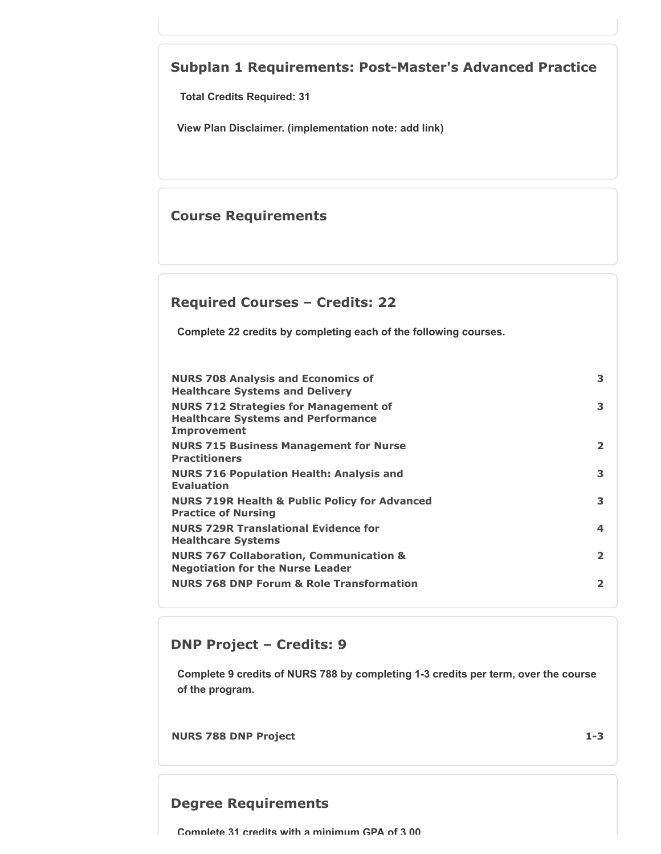# **Subplan 1 Requirements: Post-Master's Advanced Practice**

**Total Credits Required: 31**

**View Plan Disclaimer. (implementation note: add link)**

## **Course Requirements**

## **Required Courses – Credits: 22**

**Complete 22 credits by completing each of the following courses.**

| <b>NURS 708 Analysis and Economics of</b><br><b>Healthcare Systems and Delivery</b>                             | 3              |
|-----------------------------------------------------------------------------------------------------------------|----------------|
| <b>NURS 712 Strategies for Management of</b><br><b>Healthcare Systems and Performance</b><br><b>Improvement</b> | 3              |
| <b>NURS 715 Business Management for Nurse</b><br><b>Practitioners</b>                                           | $\overline{2}$ |
| <b>NURS 716 Population Health: Analysis and</b><br><b>Evaluation</b>                                            | 3              |
| <b>NURS 719R Health &amp; Public Policy for Advanced</b><br><b>Practice of Nursing</b>                          | 3              |
| <b>NURS 729R Translational Evidence for</b><br><b>Healthcare Systems</b>                                        | 4              |
| <b>NURS 767 Collaboration, Communication &amp;</b><br><b>Negotiation for the Nurse Leader</b>                   | $\overline{2}$ |
| <b>NURS 768 DNP Forum &amp; Role Transformation</b>                                                             | $\overline{2}$ |

## **DNP Project – Credits: 9**

**Complete 9 credits of NURS 788 by completing 1-3 credits per term, over the course of the program.**

**NURS 788 DNP Project 1-3**

## **Degree Requirements**

**Complete 31 credits with a minimum GPA of 3 00**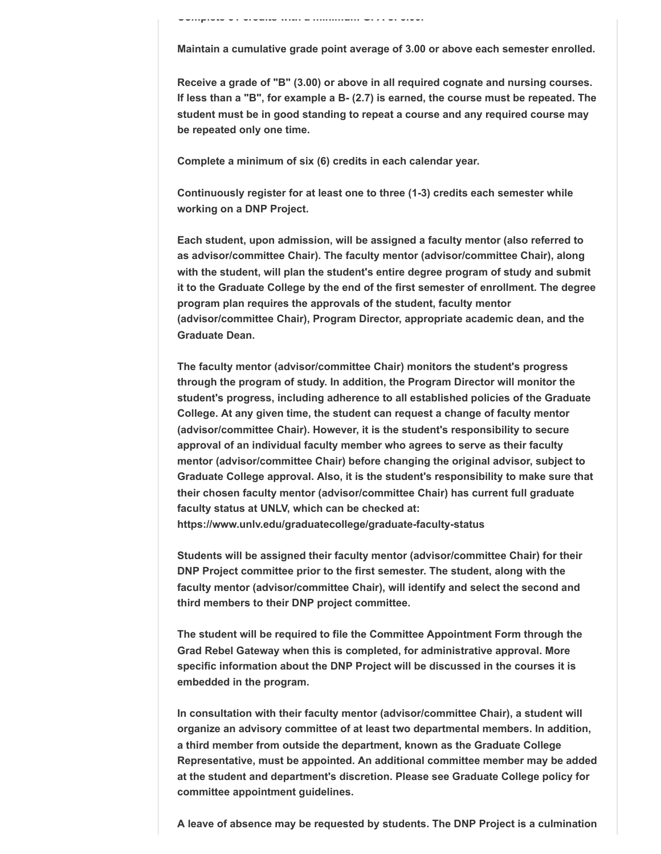**Complete 31 credits with a minimum GPA of 3.00.**

**Maintain a cumulative grade point average of 3.00 or above each semester enrolled.**

**Receive a grade of "B" (3.00) or above in all required cognate and nursing courses. If less than a "B", for example a B- (2.7) is earned, the course must be repeated. The student must be in good standing to repeat a course and any required course may be repeated only one time.**

**Complete a minimum of six (6) credits in each calendar year.**

**Continuously register for at least one to three (1-3) credits each semester while working on a DNP Project.**

**Each student, upon admission, will be assigned a faculty mentor (also referred to as advisor/committee Chair). The faculty mentor (advisor/committee Chair), along with the student, will plan the student's entire degree program of study and submit it to the Graduate College by the end of the first semester of enrollment. The degree program plan requires the approvals of the student, faculty mentor (advisor/committee Chair), Program Director, appropriate academic dean, and the Graduate Dean.**

**The faculty mentor (advisor/committee Chair) monitors the student's progress through the program of study. In addition, the Program Director will monitor the student's progress, including adherence to all established policies of the Graduate College. At any given time, the student can request a change of faculty mentor (advisor/committee Chair). However, it is the student's responsibility to secure approval of an individual faculty member who agrees to serve as their faculty mentor (advisor/committee Chair) before changing the original advisor, subject to Graduate College approval. Also, it is the student's responsibility to make sure that their chosen faculty mentor (advisor/committee Chair) has current full graduate faculty status at UNLV, which can be checked at: https://www.unlv.edu/graduatecollege/graduate-faculty-status** 

**Students will be assigned their faculty mentor (advisor/committee Chair) for their DNP Project committee prior to the first semester. The student, along with the faculty mentor (advisor/committee Chair), will identify and select the second and third members to their DNP project committee.**

**The student will be required to file the Committee Appointment Form through the Grad Rebel Gateway when this is completed, for administrative approval. More specific information about the DNP Project will be discussed in the courses it is embedded in the program.**

**In consultation with their faculty mentor (advisor/committee Chair), a student will organize an advisory committee of at least two departmental members. In addition, a third member from outside the department, known as the Graduate College Representative, must be appointed. An additional committee member may be added at the student and department's discretion. Please see Graduate College policy for committee appointment guidelines.**

**A leave of absence may be requested by students. The DNP Project is a culmination**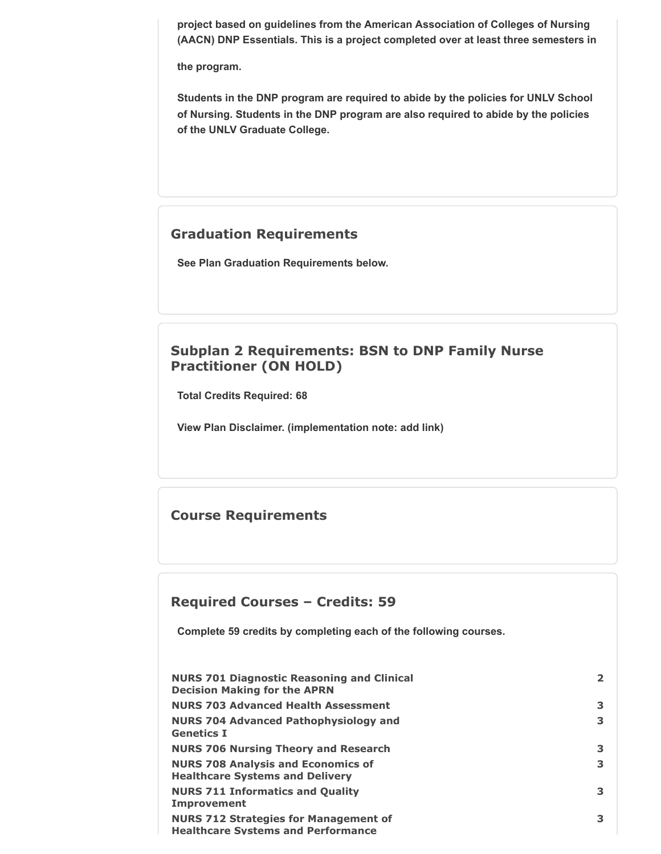**project based on guidelines from the American Association of Colleges of Nursing (AACN) DNP Essentials. This is a project completed over at least three semesters in**

**the program.**

**Students in the DNP program are required to abide by the policies for UNLV School of Nursing. Students in the DNP program are also required to abide by the policies of the UNLV Graduate College.**

## **Graduation Requirements**

**See Plan Graduation Requirements below.**

# **Subplan 2 Requirements: BSN to DNP Family Nurse Practitioner (ON HOLD)**

**Total Credits Required: 68**

**View Plan Disclaimer. (implementation note: add link)**

## **Course Requirements**

## **Required Courses – Credits: 59**

**Complete 59 credits by completing each of the following courses.**

| <b>NURS 701 Diagnostic Reasoning and Clinical</b><br><b>Decision Making for the APRN</b>  | $\mathbf{2}$ |
|-------------------------------------------------------------------------------------------|--------------|
| <b>NURS 703 Advanced Health Assessment</b>                                                | 3            |
| <b>NURS 704 Advanced Pathophysiology and</b><br><b>Genetics I</b>                         | 3            |
| <b>NURS 706 Nursing Theory and Research</b>                                               | 3            |
| <b>NURS 708 Analysis and Economics of</b><br><b>Healthcare Systems and Delivery</b>       | 3            |
| <b>NURS 711 Informatics and Quality</b><br><b>Improvement</b>                             | 3            |
| <b>NURS 712 Strategies for Management of</b><br><b>Healthcare Systems and Performance</b> | 3            |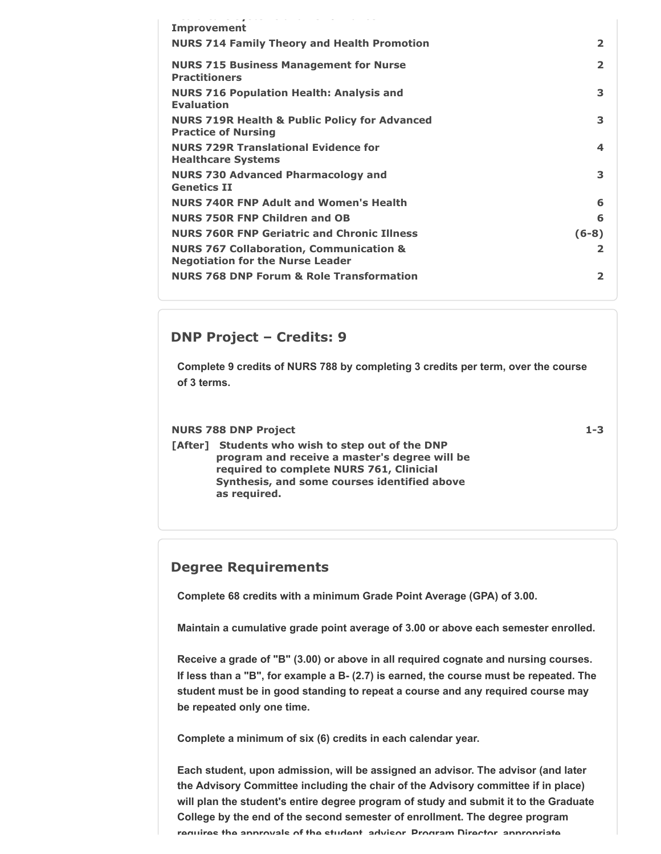| the process of the contract of the contract of the                                            |                |
|-----------------------------------------------------------------------------------------------|----------------|
| <b>Improvement</b>                                                                            |                |
| <b>NURS 714 Family Theory and Health Promotion</b>                                            | $\overline{2}$ |
| <b>NURS 715 Business Management for Nurse</b><br><b>Practitioners</b>                         | $\overline{2}$ |
| <b>NURS 716 Population Health: Analysis and</b><br><b>Evaluation</b>                          | 3              |
| <b>NURS 719R Health &amp; Public Policy for Advanced</b><br><b>Practice of Nursing</b>        | 3              |
| <b>NURS 729R Translational Evidence for</b><br><b>Healthcare Systems</b>                      | 4              |
| <b>NURS 730 Advanced Pharmacology and</b><br><b>Genetics II</b>                               | 3              |
| <b>NURS 740R FNP Adult and Women's Health</b>                                                 | 6              |
| <b>NURS 750R FNP Children and OB</b>                                                          | 6              |
| <b>NURS 760R FNP Geriatric and Chronic Illness</b>                                            | $(6-8)$        |
| <b>NURS 767 Collaboration, Communication &amp;</b><br><b>Negotiation for the Nurse Leader</b> | 2              |
| <b>NURS 768 DNP Forum &amp; Role Transformation</b>                                           | 2              |

#### **DNP Project – Credits: 9**

**Complete 9 credits of NURS 788 by completing 3 credits per term, over the course of 3 terms.**

#### **NURS 788 DNP Project 1-3**

**[After] Students who wish to step out of the DNP program and receive a master's degree will be required to complete NURS 761, Clinicial Synthesis, and some courses identified above as required.**

## **Degree Requirements**

**Complete 68 credits with a minimum Grade Point Average (GPA) of 3.00.**

**Maintain a cumulative grade point average of 3.00 or above each semester enrolled.**

**Receive a grade of "B" (3.00) or above in all required cognate and nursing courses. If less than a "B", for example a B- (2.7) is earned, the course must be repeated. The student must be in good standing to repeat a course and any required course may be repeated only one time.**

**Complete a minimum of six (6) credits in each calendar year.**

**Each student, upon admission, will be assigned an advisor. The advisor (and later the Advisory Committee including the chair of the Advisory committee if in place) will plan the student's entire degree program of study and submit it to the Graduate College by the end of the second semester of enrollment. The degree program requires the approvals of the student advisor Program Director appropriate**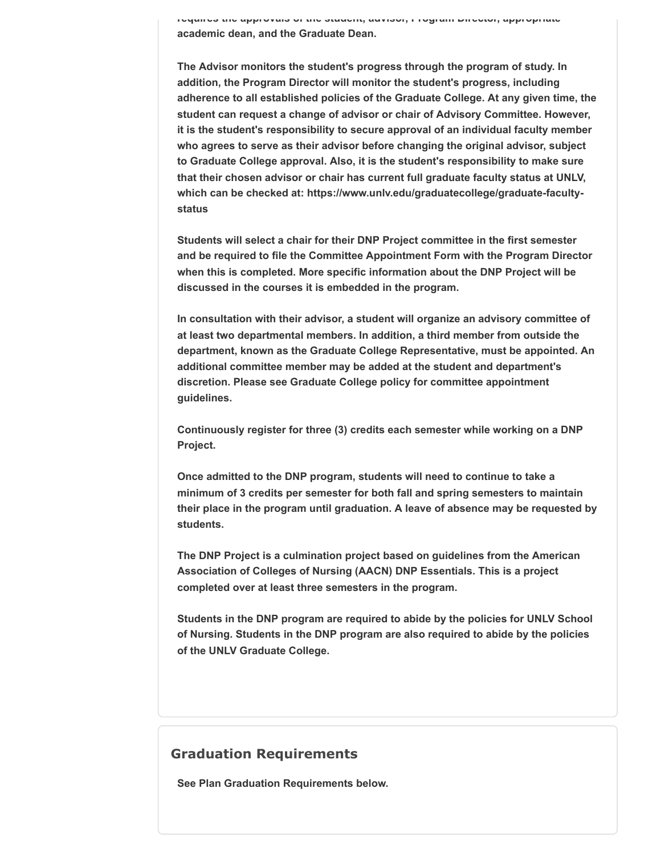**requires the approvals of the student, advisor, Program Director, appropriate academic dean, and the Graduate Dean.**

**The Advisor monitors the student's progress through the program of study. In addition, the Program Director will monitor the student's progress, including adherence to all established policies of the Graduate College. At any given time, the student can request a change of advisor or chair of Advisory Committee. However, it is the student's responsibility to secure approval of an individual faculty member who agrees to serve as their advisor before changing the original advisor, subject to Graduate College approval. Also, it is the student's responsibility to make sure that their chosen advisor or chair has current full graduate faculty status at UNLV, which can be checked at: https://www.unlv.edu/graduatecollege/graduate-facultystatus** 

**Students will select a chair for their DNP Project committee in the first semester and be required to file the Committee Appointment Form with the Program Director when this is completed. More specific information about the DNP Project will be discussed in the courses it is embedded in the program.**

**In consultation with their advisor, a student will organize an advisory committee of at least two departmental members. In addition, a third member from outside the department, known as the Graduate College Representative, must be appointed. An additional committee member may be added at the student and department's discretion. Please see Graduate College policy for committee appointment guidelines.**

**Continuously register for three (3) credits each semester while working on a DNP Project.**

**Once admitted to the DNP program, students will need to continue to take a minimum of 3 credits per semester for both fall and spring semesters to maintain their place in the program until graduation. A leave of absence may be requested by students.**

**The DNP Project is a culmination project based on guidelines from the American Association of Colleges of Nursing (AACN) DNP Essentials. This is a project completed over at least three semesters in the program.**

**Students in the DNP program are required to abide by the policies for UNLV School of Nursing. Students in the DNP program are also required to abide by the policies of the UNLV Graduate College.**

#### **Graduation Requirements**

**See Plan Graduation Requirements below.**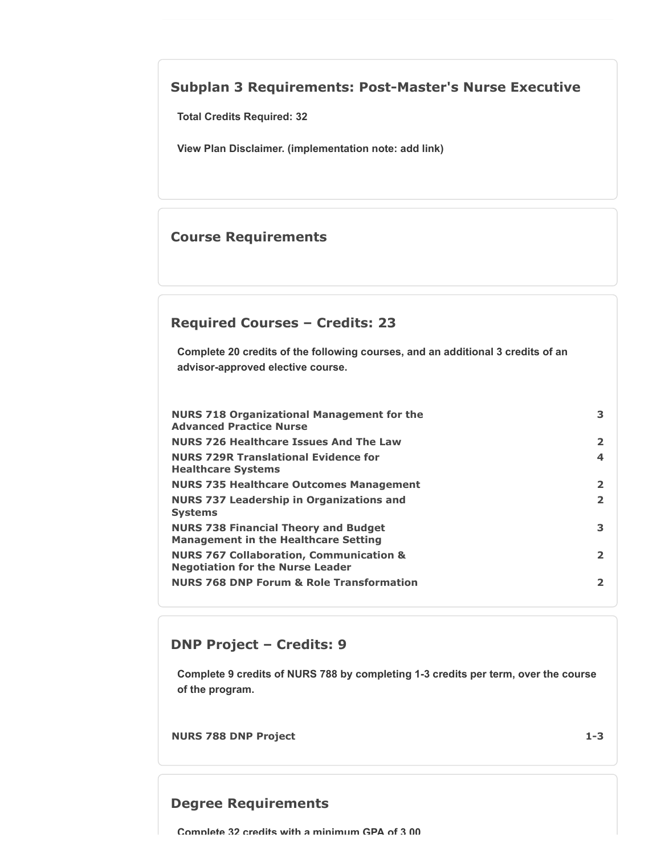## **Subplan 3 Requirements: Post-Master's Nurse Executive**

**Total Credits Required: 32**

**View Plan Disclaimer. (implementation note: add link)**

## **Course Requirements**

## **Required Courses – Credits: 23**

**Complete 20 credits of the following courses, and an additional 3 credits of an advisor-approved elective course.**

| <b>NURS 718 Organizational Management for the</b><br><b>Advanced Practice Nurse</b>           | 3              |
|-----------------------------------------------------------------------------------------------|----------------|
| <b>NURS 726 Healthcare Issues And The Law</b>                                                 | $\overline{2}$ |
| <b>NURS 729R Translational Evidence for</b><br><b>Healthcare Systems</b>                      | 4              |
| <b>NURS 735 Healthcare Outcomes Management</b>                                                | 2              |
| <b>NURS 737 Leadership in Organizations and</b><br><b>Systems</b>                             | $\overline{2}$ |
| <b>NURS 738 Financial Theory and Budget</b><br><b>Management in the Healthcare Setting</b>    | 3              |
| <b>NURS 767 Collaboration, Communication &amp;</b><br><b>Negotiation for the Nurse Leader</b> | $\overline{2}$ |
| <b>NURS 768 DNP Forum &amp; Role Transformation</b>                                           | 2              |

## **DNP Project – Credits: 9**

**Complete 9 credits of NURS 788 by completing 1-3 credits per term, over the course of the program.**

**NURS 788 DNP Project 1-3**

## **Degree Requirements**

**Complete 32 credits with a minimum GPA of 3 00**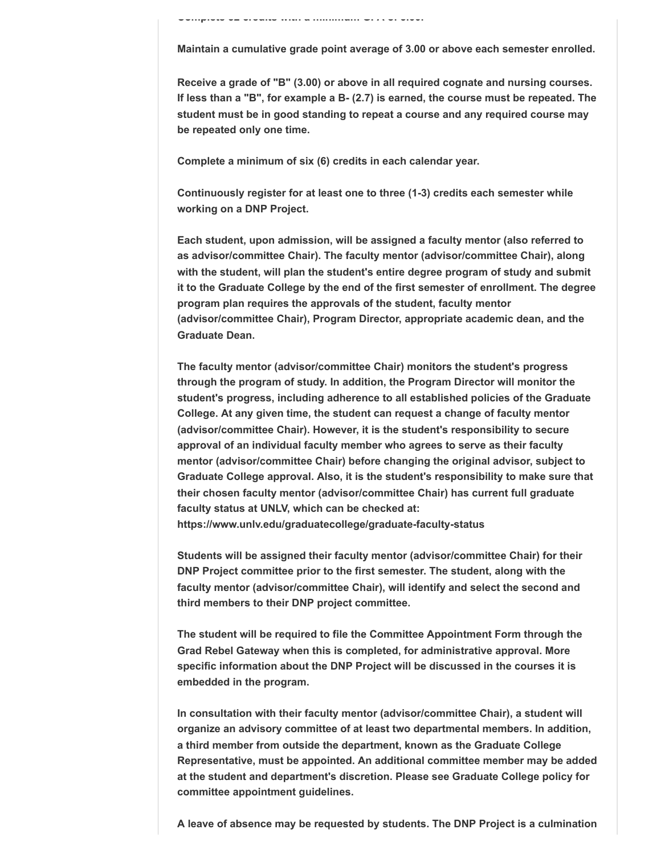**Complete 32 credits with a minimum GPA of 3.00.**

**Maintain a cumulative grade point average of 3.00 or above each semester enrolled.**

**Receive a grade of "B" (3.00) or above in all required cognate and nursing courses. If less than a "B", for example a B- (2.7) is earned, the course must be repeated. The student must be in good standing to repeat a course and any required course may be repeated only one time.**

**Complete a minimum of six (6) credits in each calendar year.**

**Continuously register for at least one to three (1-3) credits each semester while working on a DNP Project.**

**Each student, upon admission, will be assigned a faculty mentor (also referred to as advisor/committee Chair). The faculty mentor (advisor/committee Chair), along with the student, will plan the student's entire degree program of study and submit it to the Graduate College by the end of the first semester of enrollment. The degree program plan requires the approvals of the student, faculty mentor (advisor/committee Chair), Program Director, appropriate academic dean, and the Graduate Dean.**

**The faculty mentor (advisor/committee Chair) monitors the student's progress through the program of study. In addition, the Program Director will monitor the student's progress, including adherence to all established policies of the Graduate College. At any given time, the student can request a change of faculty mentor (advisor/committee Chair). However, it is the student's responsibility to secure approval of an individual faculty member who agrees to serve as their faculty mentor (advisor/committee Chair) before changing the original advisor, subject to Graduate College approval. Also, it is the student's responsibility to make sure that their chosen faculty mentor (advisor/committee Chair) has current full graduate faculty status at UNLV, which can be checked at: https://www.unlv.edu/graduatecollege/graduate-faculty-status** 

**Students will be assigned their faculty mentor (advisor/committee Chair) for their DNP Project committee prior to the first semester. The student, along with the faculty mentor (advisor/committee Chair), will identify and select the second and third members to their DNP project committee.**

**The student will be required to file the Committee Appointment Form through the Grad Rebel Gateway when this is completed, for administrative approval. More specific information about the DNP Project will be discussed in the courses it is embedded in the program.**

**In consultation with their faculty mentor (advisor/committee Chair), a student will organize an advisory committee of at least two departmental members. In addition, a third member from outside the department, known as the Graduate College Representative, must be appointed. An additional committee member may be added at the student and department's discretion. Please see Graduate College policy for committee appointment guidelines.**

**A leave of absence may be requested by students. The DNP Project is a culmination**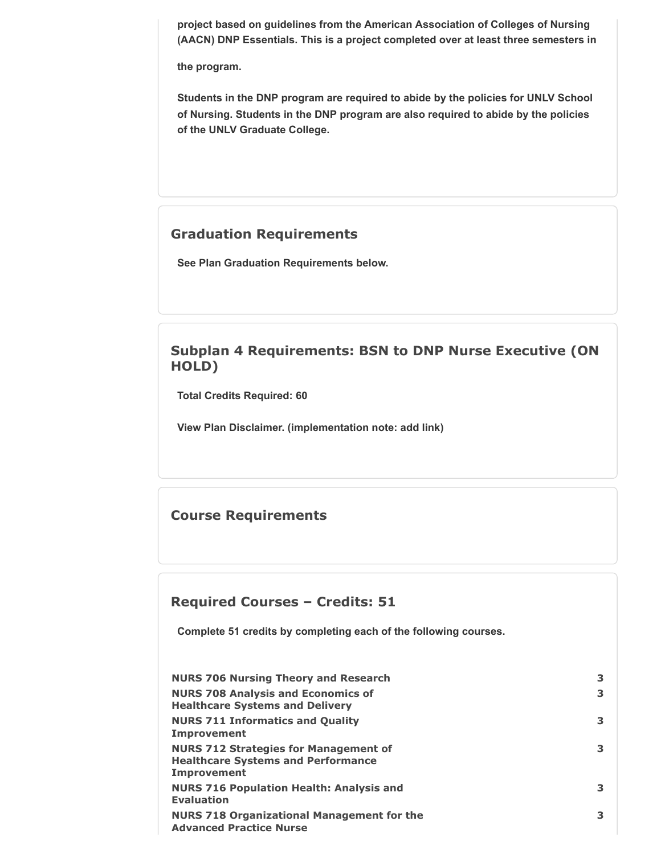**project based on guidelines from the American Association of Colleges of Nursing (AACN) DNP Essentials. This is a project completed over at least three semesters in**

**the program.**

**Students in the DNP program are required to abide by the policies for UNLV School of Nursing. Students in the DNP program are also required to abide by the policies of the UNLV Graduate College.**

## **Graduation Requirements**

**See Plan Graduation Requirements below.**

# **Subplan 4 Requirements: BSN to DNP Nurse Executive (ON HOLD)**

**Total Credits Required: 60**

**View Plan Disclaimer. (implementation note: add link)**

## **Course Requirements**

## **Required Courses – Credits: 51**

**Complete 51 credits by completing each of the following courses.**

| <b>NURS 706 Nursing Theory and Research</b>                                                                     | 3 |
|-----------------------------------------------------------------------------------------------------------------|---|
| <b>NURS 708 Analysis and Economics of</b><br><b>Healthcare Systems and Delivery</b>                             | 3 |
| <b>NURS 711 Informatics and Quality</b><br><b>Improvement</b>                                                   | 3 |
| <b>NURS 712 Strategies for Management of</b><br><b>Healthcare Systems and Performance</b><br><b>Improvement</b> | 3 |
| <b>NURS 716 Population Health: Analysis and</b><br><b>Evaluation</b>                                            | 3 |
| <b>NURS 718 Organizational Management for the</b><br><b>Advanced Practice Nurse</b>                             | 3 |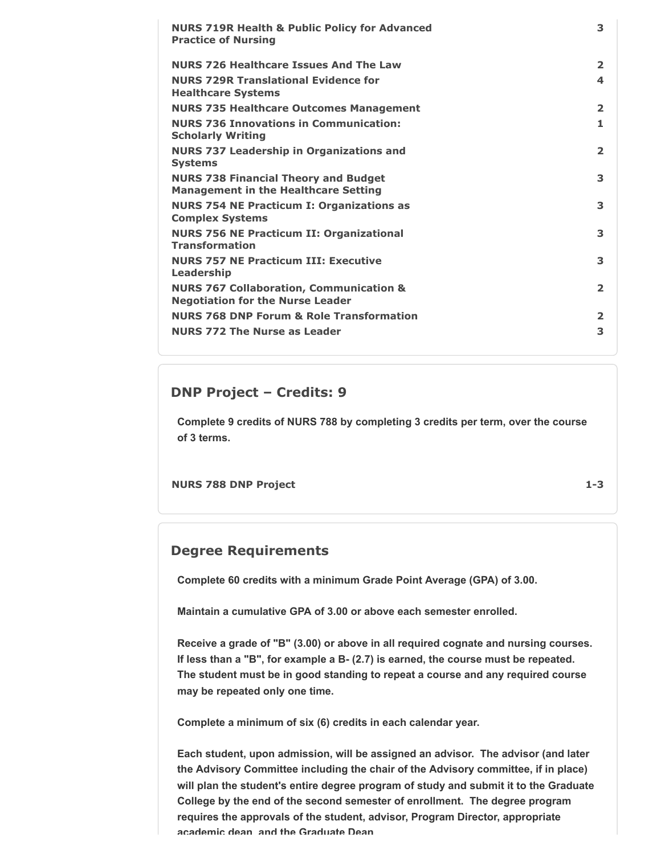| <b>NURS 719R Health &amp; Public Policy for Advanced</b><br><b>Practice of Nursing</b>        | 3              |
|-----------------------------------------------------------------------------------------------|----------------|
| <b>NURS 726 Healthcare Issues And The Law</b>                                                 | $\overline{2}$ |
| <b>NURS 729R Translational Evidence for</b><br><b>Healthcare Systems</b>                      | 4              |
| <b>NURS 735 Healthcare Outcomes Management</b>                                                | $\overline{2}$ |
| <b>NURS 736 Innovations in Communication:</b><br><b>Scholarly Writing</b>                     | 1              |
| <b>NURS 737 Leadership in Organizations and</b><br><b>Systems</b>                             | $\overline{2}$ |
| <b>NURS 738 Financial Theory and Budget</b><br><b>Management in the Healthcare Setting</b>    | 3              |
| <b>NURS 754 NE Practicum I: Organizations as</b><br><b>Complex Systems</b>                    | 3              |
| <b>NURS 756 NE Practicum II: Organizational</b><br><b>Transformation</b>                      | 3              |
| <b>NURS 757 NE Practicum III: Executive</b><br>Leadership                                     | 3              |
| <b>NURS 767 Collaboration, Communication &amp;</b><br><b>Negotiation for the Nurse Leader</b> | $\overline{2}$ |
| <b>NURS 768 DNP Forum &amp; Role Transformation</b>                                           | $\overline{2}$ |
| <b>NURS 772 The Nurse as Leader</b>                                                           | 3              |

## **DNP Project – Credits: 9**

**Complete 9 credits of NURS 788 by completing 3 credits per term, over the course of 3 terms.**

**NURS 788 DNP Project 1-3**

## **Degree Requirements**

**Complete 60 credits with a minimum Grade Point Average (GPA) of 3.00.**

**Maintain a cumulative GPA of 3.00 or above each semester enrolled.**

**Receive a grade of "B" (3.00) or above in all required cognate and nursing courses. If less than a "B", for example a B- (2.7) is earned, the course must be repeated. The student must be in good standing to repeat a course and any required course may be repeated only one time.**

**Complete a minimum of six (6) credits in each calendar year.**

**Each student, upon admission, will be assigned an advisor. The advisor (and later the Advisory Committee including the chair of the Advisory committee, if in place) will plan the student's entire degree program of study and submit it to the Graduate College by the end of the second semester of enrollment. The degree program requires the approvals of the student, advisor, Program Director, appropriate academic dean and the Graduate Dean**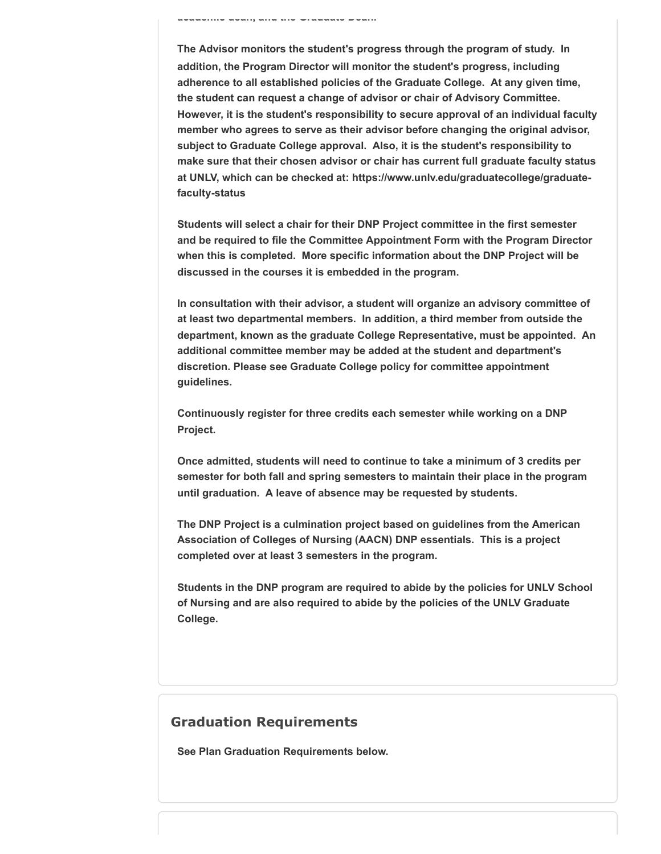**academic dean, and the Graduate Dean.**

**The Advisor monitors the student's progress through the program of study. In addition, the Program Director will monitor the student's progress, including adherence to all established policies of the Graduate College. At any given time, the student can request a change of advisor or chair of Advisory Committee. However, it is the student's responsibility to secure approval of an individual faculty member who agrees to serve as their advisor before changing the original advisor, subject to Graduate College approval. Also, it is the student's responsibility to make sure that their chosen advisor or chair has current full graduate faculty status at UNLV, which can be checked at: https://www.unlv.edu/graduatecollege/graduatefaculty-status** 

**Students will select a chair for their DNP Project committee in the first semester and be required to file the Committee Appointment Form with the Program Director when this is completed. More specific information about the DNP Project will be discussed in the courses it is embedded in the program.**

**In consultation with their advisor, a student will organize an advisory committee of at least two departmental members. In addition, a third member from outside the department, known as the graduate College Representative, must be appointed. An additional committee member may be added at the student and department's discretion. Please see Graduate College policy for committee appointment guidelines.**

**Continuously register for three credits each semester while working on a DNP Project.**

**Once admitted, students will need to continue to take a minimum of 3 credits per semester for both fall and spring semesters to maintain their place in the program until graduation. A leave of absence may be requested by students.**

**The DNP Project is a culmination project based on guidelines from the American Association of Colleges of Nursing (AACN) DNP essentials. This is a project completed over at least 3 semesters in the program.**

**Students in the DNP program are required to abide by the policies for UNLV School of Nursing and are also required to abide by the policies of the UNLV Graduate College.**

## **Graduation Requirements**

**See Plan Graduation Requirements below.**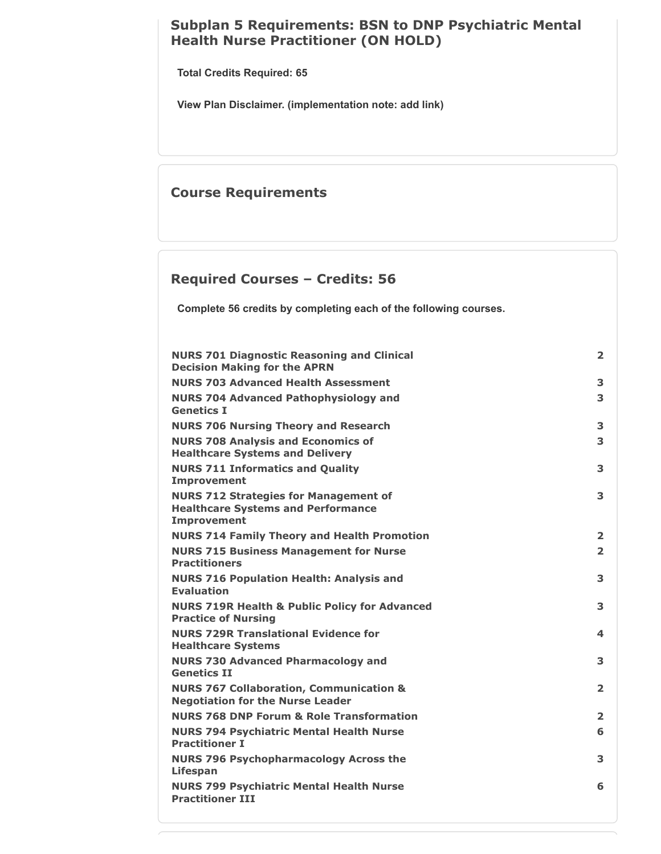## **Subplan 5 Requirements: BSN to DNP Psychiatric Mental Health Nurse Practitioner (ON HOLD)**

**Total Credits Required: 65**

**View Plan Disclaimer. (implementation note: add link)**

## **Course Requirements**

## **Required Courses – Credits: 56**

**Complete 56 credits by completing each of the following courses.**

| <b>NURS 701 Diagnostic Reasoning and Clinical</b><br><b>Decision Making for the APRN</b>                        | $\overline{\mathbf{2}}$ |
|-----------------------------------------------------------------------------------------------------------------|-------------------------|
| <b>NURS 703 Advanced Health Assessment</b>                                                                      | 3                       |
| <b>NURS 704 Advanced Pathophysiology and</b><br><b>Genetics I</b>                                               | 3                       |
| <b>NURS 706 Nursing Theory and Research</b>                                                                     | 3                       |
| <b>NURS 708 Analysis and Economics of</b><br><b>Healthcare Systems and Delivery</b>                             | 3                       |
| <b>NURS 711 Informatics and Quality</b><br><b>Improvement</b>                                                   | 3                       |
| <b>NURS 712 Strategies for Management of</b><br><b>Healthcare Systems and Performance</b><br><b>Improvement</b> | 3                       |
| <b>NURS 714 Family Theory and Health Promotion</b>                                                              | $\overline{2}$          |
| <b>NURS 715 Business Management for Nurse</b><br><b>Practitioners</b>                                           | $\overline{2}$          |
| <b>NURS 716 Population Health: Analysis and</b><br><b>Evaluation</b>                                            | 3                       |
| <b>NURS 719R Health &amp; Public Policy for Advanced</b><br><b>Practice of Nursing</b>                          | 3                       |
| <b>NURS 729R Translational Evidence for</b><br><b>Healthcare Systems</b>                                        | 4                       |
| <b>NURS 730 Advanced Pharmacology and</b><br><b>Genetics II</b>                                                 | 3                       |
| <b>NURS 767 Collaboration, Communication &amp;</b><br><b>Negotiation for the Nurse Leader</b>                   | $\overline{2}$          |
| <b>NURS 768 DNP Forum &amp; Role Transformation</b>                                                             | $\overline{2}$          |
| <b>NURS 794 Psychiatric Mental Health Nurse</b><br><b>Practitioner I</b>                                        | 6                       |
| <b>NURS 796 Psychopharmacology Across the</b><br><b>Lifespan</b>                                                | 3                       |
| <b>NURS 799 Psychiatric Mental Health Nurse</b><br><b>Practitioner III</b>                                      | 6                       |
|                                                                                                                 |                         |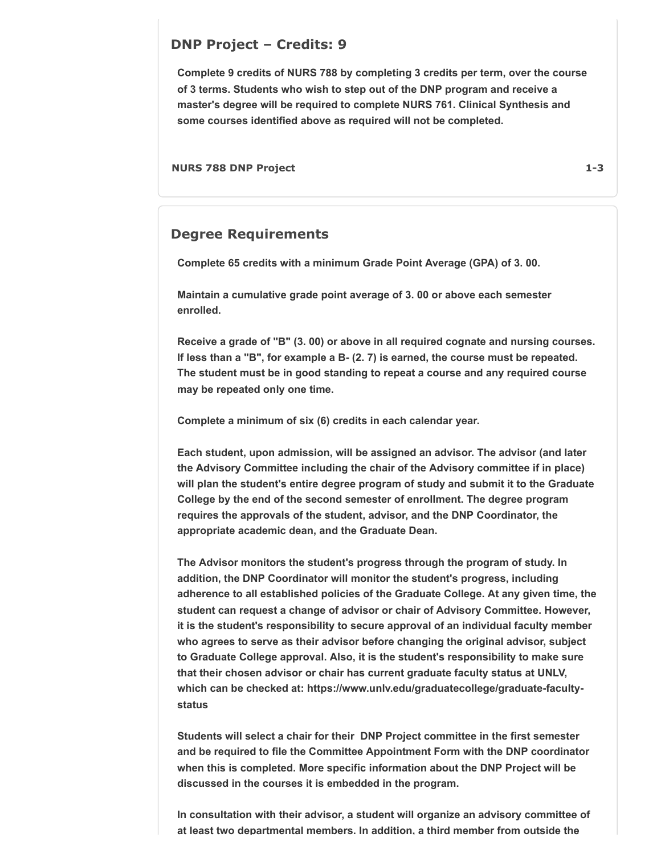#### **DNP Project – Credits: 9**

**Complete 9 credits of NURS 788 by completing 3 credits per term, over the course of 3 terms. Students who wish to step out of the DNP program and receive a master's degree will be required to complete NURS 761. Clinical Synthesis and some courses identified above as required will not be completed.**

**NURS 788 DNP Project 1-3**

#### **Degree Requirements**

**Complete 65 credits with a minimum Grade Point Average (GPA) of 3. 00.**

**Maintain a cumulative grade point average of 3. 00 or above each semester enrolled.**

**Receive a grade of "B" (3. 00) or above in all required cognate and nursing courses. If less than a "B", for example a B- (2. 7) is earned, the course must be repeated. The student must be in good standing to repeat a course and any required course may be repeated only one time.**

**Complete a minimum of six (6) credits in each calendar year.**

**Each student, upon admission, will be assigned an advisor. The advisor (and later the Advisory Committee including the chair of the Advisory committee if in place) will plan the student's entire degree program of study and submit it to the Graduate College by the end of the second semester of enrollment. The degree program requires the approvals of the student, advisor, and the DNP Coordinator, the appropriate academic dean, and the Graduate Dean.**

**The Advisor monitors the student's progress through the program of study. In addition, the DNP Coordinator will monitor the student's progress, including adherence to all established policies of the Graduate College. At any given time, the student can request a change of advisor or chair of Advisory Committee. However, it is the student's responsibility to secure approval of an individual faculty member who agrees to serve as their advisor before changing the original advisor, subject to Graduate College approval. Also, it is the student's responsibility to make sure that their chosen advisor or chair has current graduate faculty status at UNLV, which can be checked at: https://www.unlv.edu/graduatecollege/graduate-facultystatus** 

**Students will select a chair for their DNP Project committee in the first semester and be required to file the Committee Appointment Form with the DNP coordinator when this is completed. More specific information about the DNP Project will be discussed in the courses it is embedded in the program.**

**In consultation with their advisor, a student will organize an advisory committee of at least two departmental members. In addition, a third member from outside the**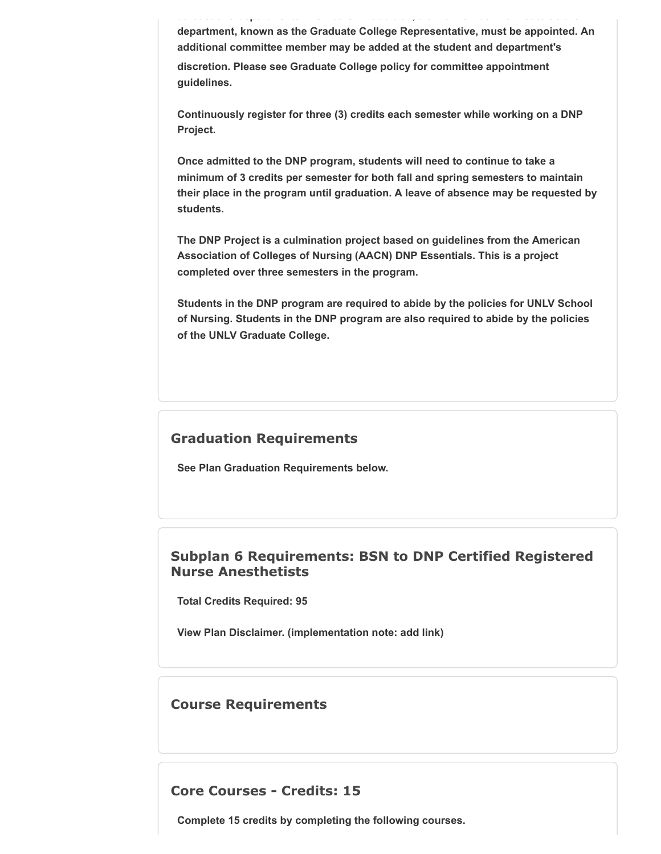**department, known as the Graduate College Representative, must be appointed. An additional committee member may be added at the student and department's discretion. Please see Graduate College policy for committee appointment guidelines.**

**at east t o depa t e ta e be s add t o , a t d e be o outs de t e**

**Continuously register for three (3) credits each semester while working on a DNP Project.**

**Once admitted to the DNP program, students will need to continue to take a minimum of 3 credits per semester for both fall and spring semesters to maintain their place in the program until graduation. A leave of absence may be requested by students.**

**The DNP Project is a culmination project based on guidelines from the American Association of Colleges of Nursing (AACN) DNP Essentials. This is a project completed over three semesters in the program.**

**Students in the DNP program are required to abide by the policies for UNLV School of Nursing. Students in the DNP program are also required to abide by the policies of the UNLV Graduate College.**

## **Graduation Requirements**

**See Plan Graduation Requirements below.**

#### **Subplan 6 Requirements: BSN to DNP Certified Registered Nurse Anesthetists**

**Total Credits Required: 95**

**View Plan Disclaimer. (implementation note: add link)**

## **Course Requirements**

**Core Courses - Credits: 15**

**Complete 15 credits by completing the following courses.**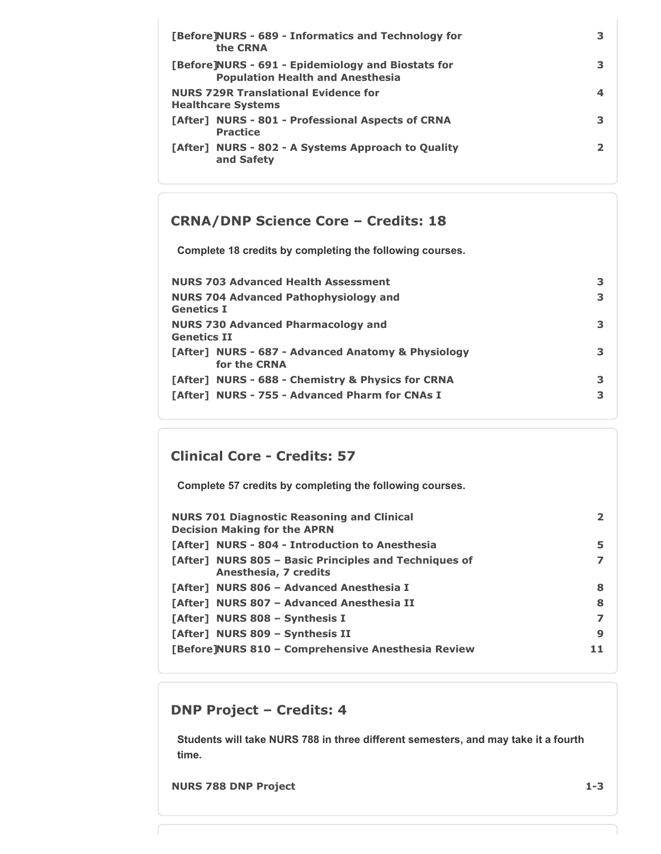| [Before]NURS - 689 - Informatics and Technology for<br>the CRNA                               |   |
|-----------------------------------------------------------------------------------------------|---|
| [Before]NURS - 691 - Epidemiology and Biostats for<br><b>Population Health and Anesthesia</b> |   |
| <b>NURS 729R Translational Evidence for</b><br><b>Healthcare Systems</b>                      | 4 |
| [After] NURS - 801 - Professional Aspects of CRNA<br><b>Practice</b>                          |   |
| [After] NURS - 802 - A Systems Approach to Quality<br>and Safety                              |   |

## **CRNA/DNP Science Core – Credits: 18**

**Complete 18 credits by completing the following courses.**

| <b>NURS 703 Advanced Health Assessment</b>                         | 3. |
|--------------------------------------------------------------------|----|
| <b>NURS 704 Advanced Pathophysiology and</b><br>Genetics I         | 3  |
| <b>NURS 730 Advanced Pharmacology and</b><br>Genetics II           | 3  |
| [After] NURS - 687 - Advanced Anatomy & Physiology<br>for the CRNA | 3  |
| [After] NURS - 688 - Chemistry & Physics for CRNA                  | 3  |
| [After] NURS - 755 - Advanced Pharm for CNAs I                     | 3  |

# **Clinical Core - Credits: 57**

**Complete 57 credits by completing the following courses.**

| <b>NURS 701 Diagnostic Reasoning and Clinical</b><br><b>Decision Making for the APRN</b> | $\mathbf{2}$ |
|------------------------------------------------------------------------------------------|--------------|
| [After] NURS - 804 - Introduction to Anesthesia                                          | 5            |
| [After] NURS 805 - Basic Principles and Techniques of<br>Anesthesia, 7 credits           |              |
| [After] NURS 806 - Advanced Anesthesia I                                                 | 8            |
| [After] NURS 807 - Advanced Anesthesia II                                                | 8            |
| [After] NURS 808 - Synthesis I                                                           | 7            |
| [After] NURS 809 - Synthesis II                                                          | 9            |
| [Before]NURS 810 - Comprehensive Anesthesia Review                                       | 11           |

## **DNP Project – Credits: 4**

**Students will take NURS 788 in three different semesters, and may take it a fourth time.**

**NURS 788 DNP Project 1-3**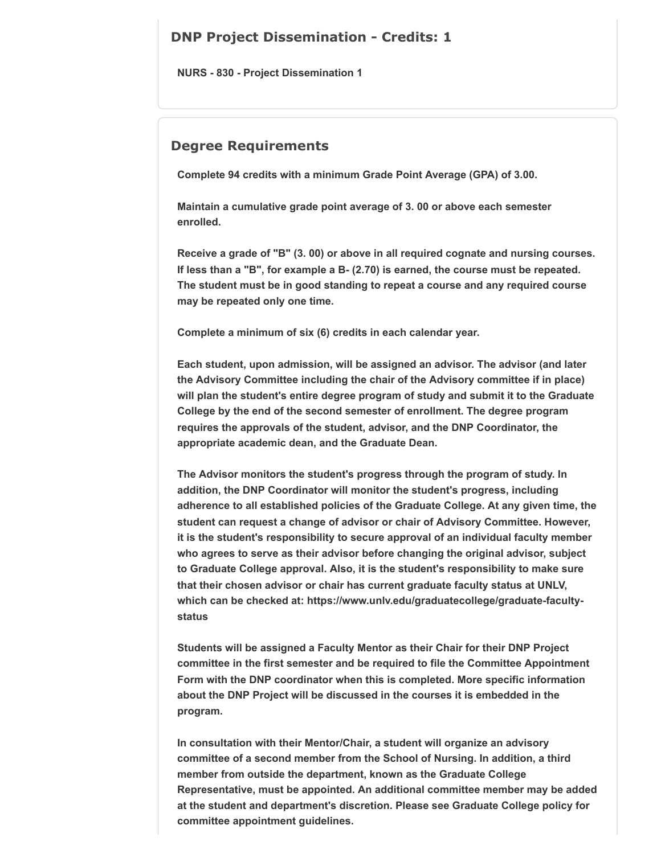### **DNP Project Dissemination - Credits: 1**

**NURS - 830 - Project Dissemination 1**

#### **Degree Requirements**

**Complete 94 credits with a minimum Grade Point Average (GPA) of 3.00.**

**Maintain a cumulative grade point average of 3. 00 or above each semester enrolled.**

**Receive a grade of "B" (3. 00) or above in all required cognate and nursing courses. If less than a "B", for example a B- (2.70) is earned, the course must be repeated. The student must be in good standing to repeat a course and any required course may be repeated only one time.**

**Complete a minimum of six (6) credits in each calendar year.**

**Each student, upon admission, will be assigned an advisor. The advisor (and later the Advisory Committee including the chair of the Advisory committee if in place) will plan the student's entire degree program of study and submit it to the Graduate College by the end of the second semester of enrollment. The degree program requires the approvals of the student, advisor, and the DNP Coordinator, the appropriate academic dean, and the Graduate Dean.**

**The Advisor monitors the student's progress through the program of study. In addition, the DNP Coordinator will monitor the student's progress, including adherence to all established policies of the Graduate College. At any given time, the student can request a change of advisor or chair of Advisory Committee. However, it is the student's responsibility to secure approval of an individual faculty member who agrees to serve as their advisor before changing the original advisor, subject to Graduate College approval. Also, it is the student's responsibility to make sure that their chosen advisor or chair has current graduate faculty status at UNLV, which can be checked at: https://www.unlv.edu/graduatecollege/graduate-facultystatus** 

**Students will be assigned a Faculty Mentor as their Chair for their DNP Project committee in the first semester and be required to file the Committee Appointment Form with the DNP coordinator when this is completed. More specific information about the DNP Project will be discussed in the courses it is embedded in the program.**

**In consultation with their Mentor/Chair, a student will organize an advisory committee of a second member from the School of Nursing. In addition, a third member from outside the department, known as the Graduate College Representative, must be appointed. An additional committee member may be added at the student and department's discretion. Please see Graduate College policy for committee appointment guidelines.**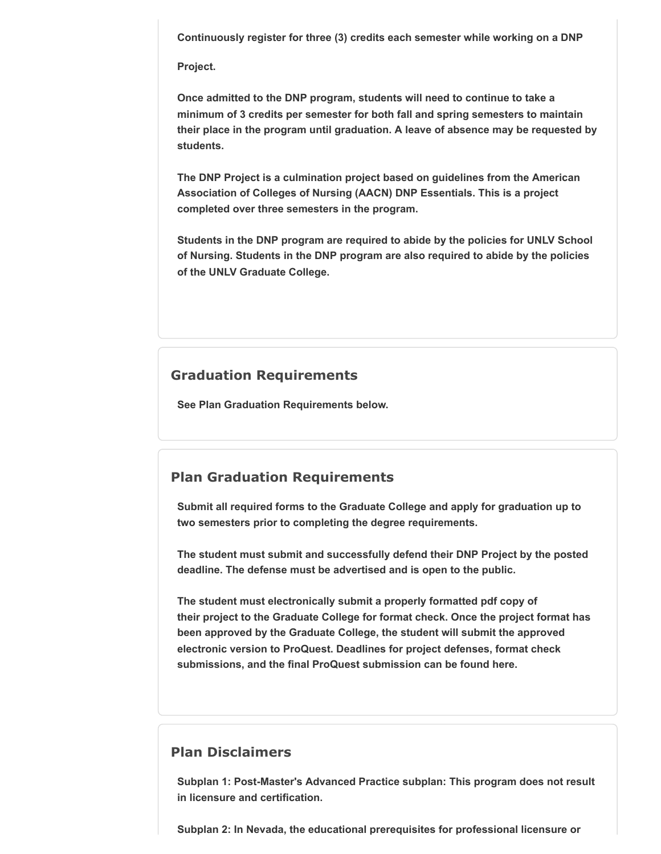**Continuously register for three (3) credits each semester while working on a DNP**

**Project.**

**Once admitted to the DNP program, students will need to continue to take a minimum of 3 credits per semester for both fall and spring semesters to maintain their place in the program until graduation. A leave of absence may be requested by students.**

**The DNP Project is a culmination project based on guidelines from the American Association of Colleges of Nursing (AACN) DNP Essentials. This is a project completed over three semesters in the program.**

**Students in the DNP program are required to abide by the policies for UNLV School of Nursing. Students in the DNP program are also required to abide by the policies of the UNLV Graduate College.**

#### **Graduation Requirements**

**See Plan Graduation Requirements below.**

#### **Plan Graduation Requirements**

**Submit all required forms to the Graduate College and apply for graduation up to two semesters prior to completing the degree requirements.** 

**The student must submit and successfully defend their DNP Project by the posted deadline. The defense must be advertised and is open to the public.** 

**The student must electronically submit a properly formatted pdf copy of their project to the Graduate College for format check. Once the project format has been approved by the Graduate College, the student will submit the approved electronic version to ProQuest. Deadlines for project defenses, format check submissions, and the final ProQuest submission can be found here.**

#### **Plan Disclaimers**

**Subplan 1: Post-Master's Advanced Practice subplan: This program does not result in licensure and certification.**

**Subplan 2: In Nevada, the educational prerequisites for professional licensure or**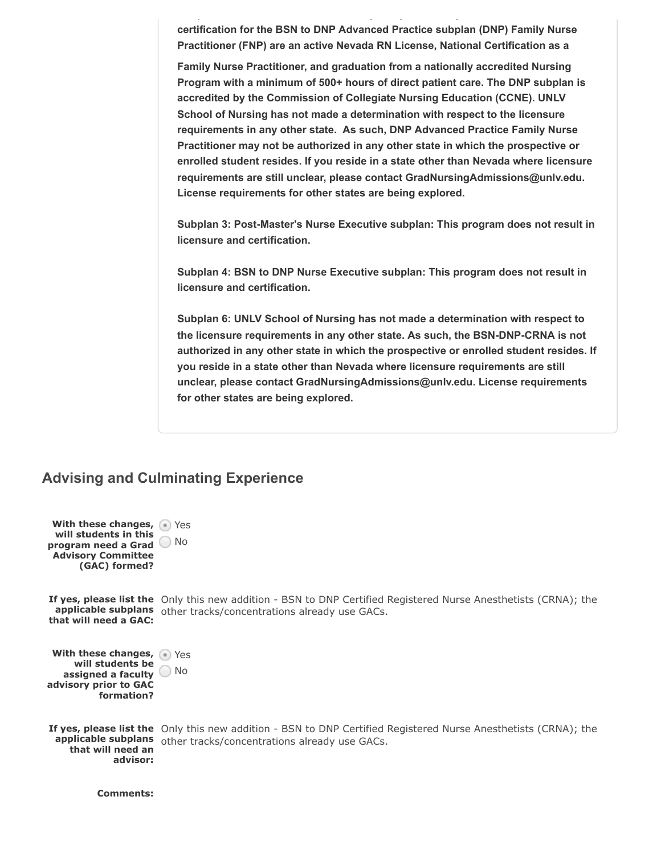**certification for the BSN to DNP Advanced Practice subplan (DNP) Family Nurse Practitioner (FNP) are an active Nevada RN License, National Certification as a**

**Family Nurse Practitioner, and graduation from a nationally accredited Nursing Program with a minimum of 500+ hours of direct patient care. The DNP subplan is accredited by the Commission of Collegiate Nursing Education (CCNE). UNLV School of Nursing has not made a determination with respect to the licensure requirements in any other state. As such, DNP Advanced Practice Family Nurse Practitioner may not be authorized in any other state in which the prospective or enrolled student resides. If you reside in a state other than Nevada where licensure requirements are still unclear, please contact GradNursingAdmissions@unlv.edu. License requirements for other states are being explored.**

**Subplan 3: Post-Master's Nurse Executive subplan: This program does not result in licensure and certification.**

**Subplan 4: BSN to DNP Nurse Executive subplan: This program does not result in licensure and certification.**

**Subplan 6: UNLV School of Nursing has not made a determination with respect to the licensure requirements in any other state. As such, the BSN-DNP-CRNA is not authorized in any other state in which the prospective or enrolled student resides. If you reside in a state other than Nevada where licensure requirements are still unclear, please contact GradNursingAdmissions@unlv.edu. License requirements for other states are being explored.**

## **Advising and Culminating Experience**

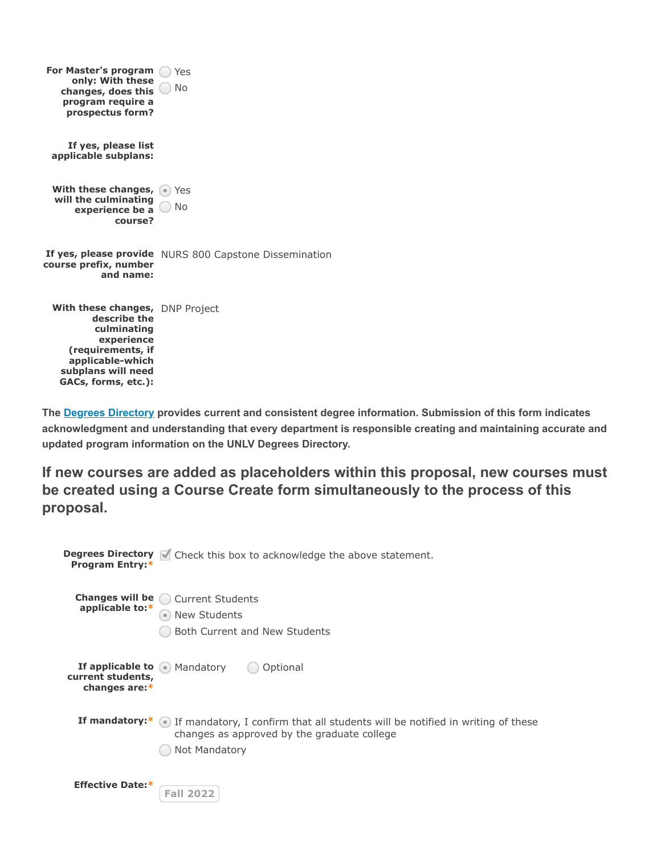| For Master's program<br>only: With these<br>changes, does this<br>program require a<br>prospectus form?                                                            | Yes<br><b>No</b>                                       |
|--------------------------------------------------------------------------------------------------------------------------------------------------------------------|--------------------------------------------------------|
| If yes, please list<br>applicable subplans:                                                                                                                        |                                                        |
| With these changes,<br>will the culminating<br>experience be a<br>course?                                                                                          | Yes<br>No                                              |
| course prefix, number<br>and name:                                                                                                                                 | If yes, please provide NURS 800 Capstone Dissemination |
| With these changes, DNP Project<br>describe the<br>culminating<br>experience<br>(requirements, if<br>applicable-which<br>subplans will need<br>GACs, forms, etc.): |                                                        |

The **[Degrees Directory](https://www.unlv.edu/academics/degrees)** provides current and consistent degree information. Submission of this form indicates **acknowledgment and understanding that every department is responsible creating and maintaining accurate and updated program information on the UNLV Degrees Directory.**

**If new courses are added as placeholders within this proposal, new courses must be created using a Course Create form simultaneously to the process of this proposal.**

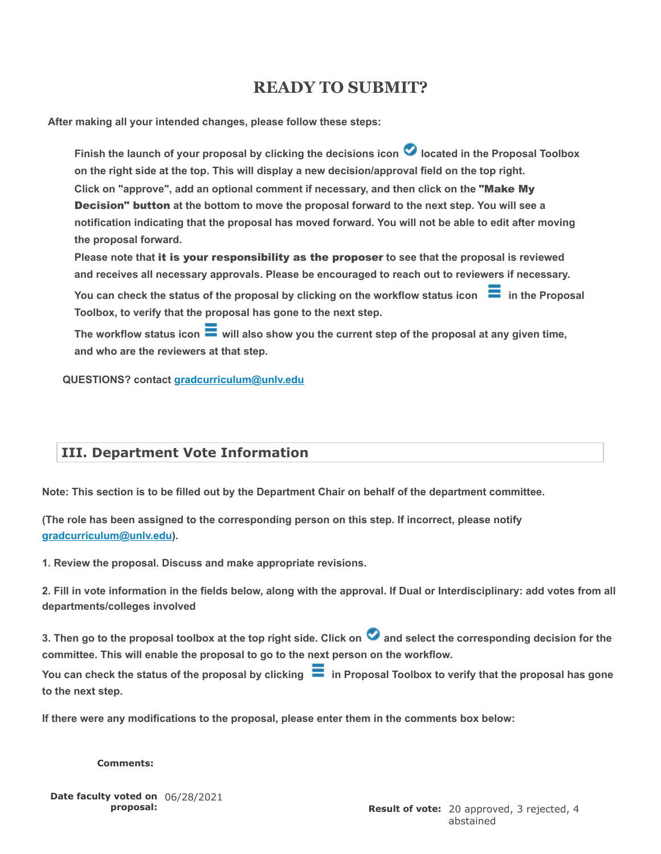# **READY TO SUBMIT?**

 **After making all your intended changes, please follow these steps:**

**Finish the launch of your proposal by clicking the decisions icon located in the Proposal Toolbox on the right side at the top. This will display a new decision/approval field on the top right.** Click on "approve", add an optional comment if necessary, and then click on the "Make My **Decision" button** at the bottom to move the proposal forward to the next step. You will see a **notification indicating that the proposal has moved forward. You will not be able to edit after moving the proposal forward.**

Please note that it is your responsibility as the proposer to see that the proposal is reviewed **and receives all necessary approvals. Please be encouraged to reach out to reviewers if necessary.**

You can check the status of the proposal by clicking on the workflow status icon  $\blacksquare$  in the Proposal **Toolbox, to verify that the proposal has gone to the next step.**

**The workflow status icon will also show you the current step of the proposal at any given time, and who are the reviewers at that step.**

**QUESTIONS? contact [gradcurriculum@unlv.edu](mailto:gradcurriculum@unlv.edu)**

# **III. Department Vote Information**

**Note: This section is to be filled out by the Department Chair on behalf of the department committee.**

**(The role has been assigned to the corresponding person on this step. If incorrect, please notify [gradcurriculum@unlv.edu\)](mailto:gradcurriculum@unlv.edu).**

**1. Review the proposal. Discuss and make appropriate revisions.**

**2. Fill in vote information in the fields below, along with the approval. If Dual or Interdisciplinary: add votes from all departments/colleges involved**

**3. Then go to the proposal toolbox at the top right side. Click on and select the corresponding decision for the committee. This will enable the proposal to go to the next person on the workflow.**

You can check the status of the proposal by clicking **in Proposal Toolbox to verify that the proposal has gone to the next step.**

**If there were any modifications to the proposal, please enter them in the comments box below:**

**Comments:**

**Date faculty voted on** 06/28/2021 **proposal:**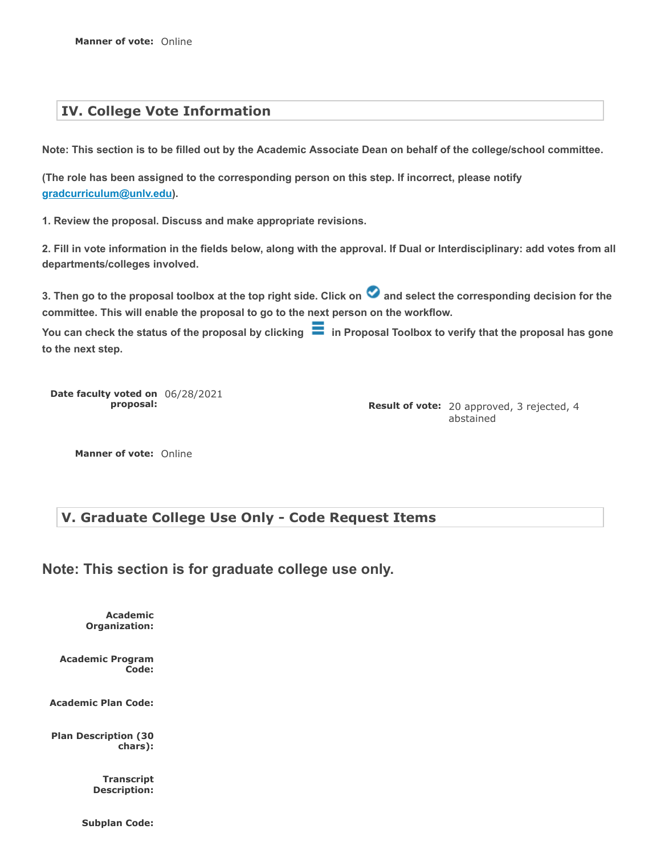## **IV. College Vote Information**

**Note: This section is to be filled out by the Academic Associate Dean on behalf of the college/school committee.**

**(The role has been assigned to the corresponding person on this step. If incorrect, please notify [gradcurriculum@unlv.edu\)](mailto:gradcurriculum@unlv.edu).**

**1. Review the proposal. Discuss and make appropriate revisions.**

**2. Fill in vote information in the fields below, along with the approval. If Dual or Interdisciplinary: add votes from all departments/colleges involved.**

**3. Then go to the proposal toolbox at the top right side. Click on and select the corresponding decision for the committee. This will enable the proposal to go to the next person on the workflow.**

You can check the status of the proposal by clicking **in** Proposal Toolbox to verify that the proposal has gone **to the next step.**

**Date faculty voted on** 06/28/2021 **proposal:**

**Result of vote:** 20 approved, 3 rejected, 4 abstained

**Manner of vote:** Online

## **V. Graduate College Use Only - Code Request Items**

**Note: This section is for graduate college use only.**

**Academic Organization:**

**Academic Program Code:**

**Academic Plan Code:**

**Plan Description (30 chars):**

> **Transcript Description:**

**Subplan Code:**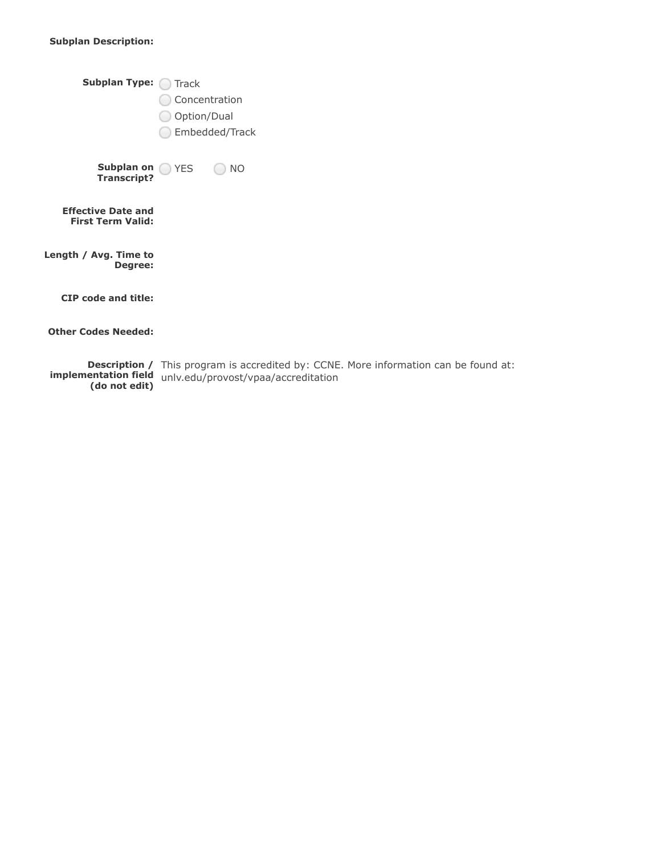#### **Subplan Description:**

| <b>Subplan Type:</b>                                  | Track<br>Concentration<br>Option/Dual<br>Embedded/Track |                                                        |
|-------------------------------------------------------|---------------------------------------------------------|--------------------------------------------------------|
| Subplan on YES<br><b>Transcript?</b>                  |                                                         | NO.                                                    |
| <b>Effective Date and</b><br><b>First Term Valid:</b> |                                                         |                                                        |
| Length / Avg. Time to<br>Degree:                      |                                                         |                                                        |
| <b>CIP</b> code and title:                            |                                                         |                                                        |
| <b>Other Codes Needed:</b>                            |                                                         |                                                        |
|                                                       |                                                         | <b>Description</b> / This program is accredited by: CC |

**Description / implementation field (do not edit)** This program is accredited by: CCNE. More information can be found at: unlv.edu/provost/vpaa/accreditation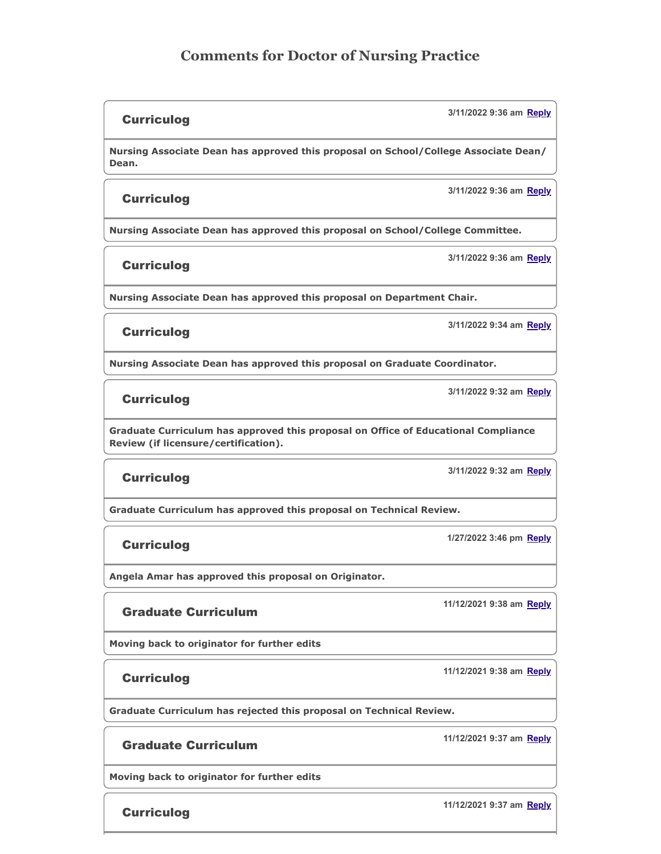# **Comments for Doctor of Nursing Practice**

#### **Curriculog**

**Nursing Associate Dean has approved this proposal on School/College Associate Dean/ Dean.**

#### **Curriculog**

**Nursing Associate Dean has approved this proposal on School/College Committee.**

**Curriculog** 

**3/11/2022 9:36 am Reply**

**3/11/2022 9:36 am Reply**

**3/11/2022 9:36 am Reply**

**Nursing Associate Dean has approved this proposal on Department Chair.**

#### **Curriculog**

**3/11/2022 9:34 am Reply**

**Nursing Associate Dean has approved this proposal on Graduate Coordinator.**

#### **Curriculog**

**3/11/2022 9:32 am Reply**

**Graduate Curriculum has approved this proposal on Office of Educational Compliance Review (if licensure/certification).**

#### **Curriculog**

**Graduate Curriculum has approved this proposal on Technical Review.**

#### **Curriculog**

**Angela Amar has approved this proposal on Originator.**

#### Graduate Curriculum

**Moving back to originator for further edits**

#### **Curriculog**

**Graduate Curriculum has rejected this proposal on Technical Review.**

#### Graduate Curriculum

**Moving back to originator for further edits**

**Curriculog** 

**1/27/2022 3:46 pm Reply**

**3/11/2022 9:32 am Reply**

**11/12/2021 9:38 am Reply**

**11/12/2021 9:38 am Reply**

**11/12/2021 9:37 am Reply**

**11/12/2021 9:37 am Reply**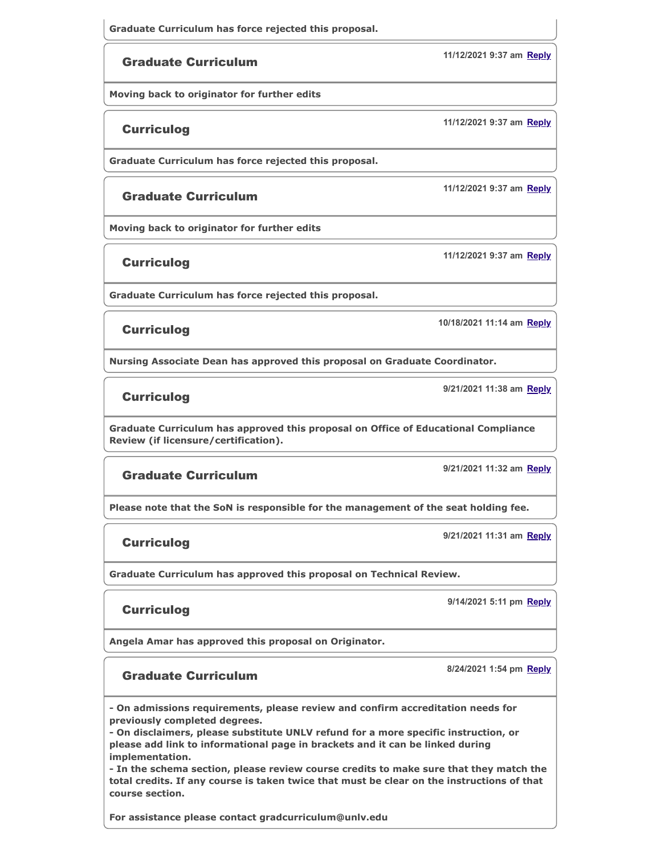#### Graduate Curriculum

**Moving back to originator for further edits**

#### **Curriculog**

**Graduate Curriculum has force rejected this proposal.**

#### Graduate Curriculum

**Moving back to originator for further edits**

Curriculog

**Graduate Curriculum has force rejected this proposal.**

#### Curriculog

**Nursing Associate Dean has approved this proposal on Graduate Coordinator.**

**Curriculog** 

**Graduate Curriculum has approved this proposal on Office of Educational Compliance Review (if licensure/certification).**

#### Graduate Curriculum

**Please note that the SoN is responsible for the management of the seat holding fee.**

Curriculog

**Graduate Curriculum has approved this proposal on Technical Review.**

#### **Curriculog**

**Angela Amar has approved this proposal on Originator.**

#### Graduate Curriculum

**- On admissions requirements, please review and confirm accreditation needs for previously completed degrees.**

**- On disclaimers, please substitute UNLV refund for a more specific instruction, or please add link to informational page in brackets and it can be linked during implementation.**

**- In the schema section, please review course credits to make sure that they match the total credits. If any course is taken twice that must be clear on the instructions of that course section.**

**For assistance please contact gradcurriculum@unlv.edu**

**11/12/2021 9:37 am Reply**

**11/12/2021 9:37 am Reply**

**11/12/2021 9:37 am Reply**

**11/12/2021 9:37 am Reply**

**10/18/2021 11:14 am Reply**

**9/21/2021 11:38 am Reply**

**9/14/2021 5:11 pm Reply**

**8/24/2021 1:54 pm Reply**

**9/21/2021 11:32 am Reply**

**9/21/2021 11:31 am Reply**